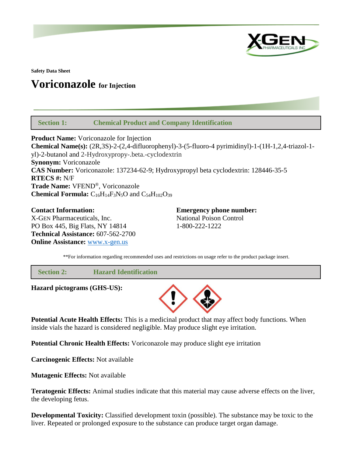

**Safety Data Sheet**

# **Voriconazole for Injection**

 **Section 1: Chemical Product and Company Identification**

**Product Name:** Voriconazole for Injection **Chemical Name(s):** (2R,3S)-2-(2,4-difluorophenyl)-3-(5-fluoro-4 pyrimidinyl)-1-(1H-1,2,4-triazol-1 yl)-2-butanol and 2-Hydroxypropy-.beta.-cyclodextrin **Synonym:** Voriconazole **CAS Number:** Voriconazole: 137234-62-9; Hydroxypropyl beta cyclodextrin: 128446-35-5 **RTECS #:** N/F **Trade Name:** VFEND®, Voriconazole **Chemical Formula:**  $C_{16}H_{14}F_3N_5O$  and  $C_{54}H_{102}O_{39}$ 

**Contact Information: Emergency phone number:** X-GEN Pharmaceuticals, Inc. National Poison Control PO Box 445, Big Flats, NY 14814 1-800-222-1222 **Technical Assistance:** 607-562-2700 **Online Assistance:** [www.x-gen.us](http://www.x-gen.us/)

\*\*For information regarding recommended uses and restrictions on usage refer to the product package insert.

 **Section 2: Hazard Identification**

**Hazard pictograms (GHS-US):**



**Potential Acute Health Effects:** This is a medicinal product that may affect body functions. When inside vials the hazard is considered negligible. May produce slight eye irritation.

**Potential Chronic Health Effects:** Voriconazole may produce slight eye irritation

**Carcinogenic Effects:** Not available

**Mutagenic Effects:** Not available

**Teratogenic Effects:** Animal studies indicate that this material may cause adverse effects on the liver, the developing fetus.

**Developmental Toxicity:** Classified development toxin (possible). The substance may be toxic to the liver. Repeated or prolonged exposure to the substance can produce target organ damage.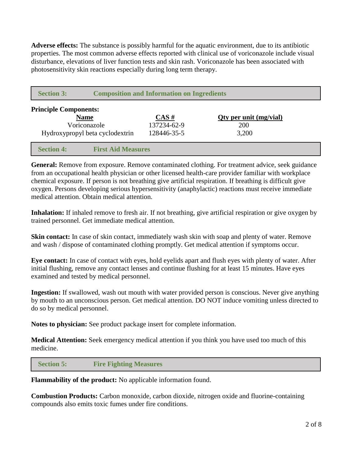**Adverse effects:** The substance is possibly harmful for the aquatic environment, due to its antibiotic properties. The most common adverse effects reported with clinical use of voriconazole include visual disturbance, elevations of liver function tests and skin rash. Voriconazole has been associated with photosensitivity skin reactions especially during long term therapy.

| <b>Section 3:</b>               | <b>Composition and Information on Ingredients</b> |             |                        |  |
|---------------------------------|---------------------------------------------------|-------------|------------------------|--|
| <b>Principle Components:</b>    |                                                   |             |                        |  |
| <b>Name</b>                     |                                                   | $CAS \#$    | Oty per unit (mg/vial) |  |
| Voriconazole                    |                                                   | 137234-62-9 | <b>200</b>             |  |
| Hydroxypropyl beta cyclodextrin |                                                   | 128446-35-5 | 3,200                  |  |
|                                 |                                                   |             |                        |  |
| <b>Section 4:</b>               | <b>First Aid Measures</b>                         |             |                        |  |

General: Remove from exposure. Remove contaminated clothing. For treatment advice, seek guidance from an occupational health physician or other licensed health-care provider familiar with workplace chemical exposure. If person is not breathing give artificial respiration. If breathing is difficult give oxygen. Persons developing serious hypersensitivity (anaphylactic) reactions must receive immediate medical attention. Obtain medical attention.

**Inhalation:** If inhaled remove to fresh air. If not breathing, give artificial respiration or give oxygen by trained personnel. Get immediate medical attention.

**Skin contact:** In case of skin contact, immediately wash skin with soap and plenty of water. Remove and wash / dispose of contaminated clothing promptly. Get medical attention if symptoms occur.

**Eye contact:** In case of contact with eyes, hold eyelids apart and flush eyes with plenty of water. After initial flushing, remove any contact lenses and continue flushing for at least 15 minutes. Have eyes examined and tested by medical personnel.

**Ingestion:** If swallowed, wash out mouth with water provided person is conscious. Never give anything by mouth to an unconscious person. Get medical attention. DO NOT induce vomiting unless directed to do so by medical personnel.

**Notes to physician:** See product package insert for complete information.

**Medical Attention:** Seek emergency medical attention if you think you have used too much of this medicine.

 **Section 5: Fire Fighting Measures**

**Flammability of the product:** No applicable information found.

**Combustion Products:** Carbon monoxide, carbon dioxide, nitrogen oxide and fluorine-containing compounds also emits toxic fumes under fire conditions.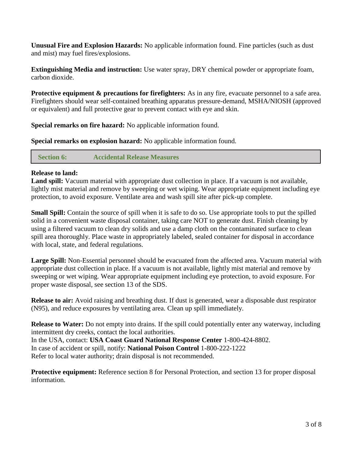**Unusual Fire and Explosion Hazards:** No applicable information found. Fine particles (such as dust and mist) may fuel fires/explosions.

**Extinguishing Media and instruction:** Use water spray, DRY chemical powder or appropriate foam, carbon dioxide.

**Protective equipment & precautions for firefighters:** As in any fire, evacuate personnel to a safe area. Firefighters should wear self-contained breathing apparatus pressure-demand, MSHA/NIOSH (approved or equivalent) and full protective gear to prevent contact with eye and skin.

**Special remarks on fire hazard:** No applicable information found.

**Special remarks on explosion hazard:** No applicable information found.

 **Section 6: Accidental Release Measures**

## **Release to land:**

**Land spill:** Vacuum material with appropriate dust collection in place. If a vacuum is not available, lightly mist material and remove by sweeping or wet wiping. Wear appropriate equipment including eye protection, to avoid exposure. Ventilate area and wash spill site after pick-up complete.

**Small Spill:** Contain the source of spill when it is safe to do so. Use appropriate tools to put the spilled solid in a convenient waste disposal container, taking care NOT to generate dust. Finish cleaning by using a filtered vacuum to clean dry solids and use a damp cloth on the contaminated surface to clean spill area thoroughly. Place waste in appropriately labeled, sealed container for disposal in accordance with local, state, and federal regulations.

**Large Spill:** Non-Essential personnel should be evacuated from the affected area. Vacuum material with appropriate dust collection in place. If a vacuum is not available, lightly mist material and remove by sweeping or wet wiping. Wear appropriate equipment including eye protection, to avoid exposure. For proper waste disposal, see section 13 of the SDS.

**Release to air:** Avoid raising and breathing dust. If dust is generated, wear a disposable dust respirator (N95), and reduce exposures by ventilating area. Clean up spill immediately.

**Release to Water:** Do not empty into drains. If the spill could potentially enter any waterway, including intermittent dry creeks, contact the local authorities. In the USA, contact: **USA Coast Guard National Response Center** 1-800-424-8802.

In case of accident or spill, notify: **National Poison Control** 1-800-222-1222

Refer to local water authority; drain disposal is not recommended.

**Protective equipment:** Reference section 8 for Personal Protection, and section 13 for proper disposal information.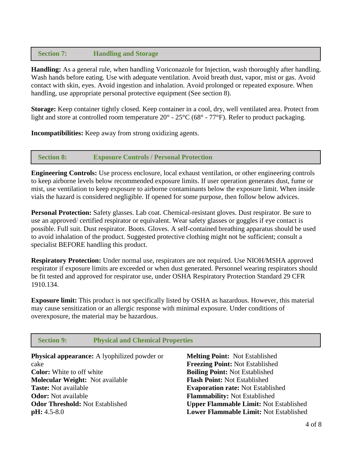## **Section 7: Handling and Storage**

**Handling:** As a general rule, when handling Voriconazole for Injection, wash thoroughly after handling. Wash hands before eating. Use with adequate ventilation. Avoid breath dust, vapor, mist or gas. Avoid contact with skin, eyes. Avoid ingestion and inhalation. Avoid prolonged or repeated exposure. When handling, use appropriate personal protective equipment (See section 8).

**Storage:** Keep container tightly closed. Keep container in a cool, dry, well ventilated area. Protect from light and store at controlled room temperature 20° - 25°C (68° - 77°F). Refer to product packaging.

**Incompatibilities:** Keep away from strong oxidizing agents.

#### **Section 8: Exposure Controls / Personal Protection**

**Engineering Controls:** Use process enclosure, local exhaust ventilation, or other engineering controls to keep airborne levels below recommended exposure limits. If user operation generates dust, fume or mist, use ventilation to keep exposure to airborne contaminants below the exposure limit. When inside vials the hazard is considered negligible. If opened for some purpose, then follow below advices.

**Personal Protection:** Safety glasses. Lab coat. Chemical-resistant gloves. Dust respirator. Be sure to use an approved/ certified respirator or equivalent. Wear safety glasses or goggles if eye contact is possible. Full suit. Dust respirator. Boots. Gloves. A self-contained breathing apparatus should be used to avoid inhalation of the product. Suggested protective clothing might not be sufficient; consult a specialist BEFORE handling this product.

**Respiratory Protection:** Under normal use, respirators are not required. Use NIOH/MSHA approved respirator if exposure limits are exceeded or when dust generated. Personnel wearing respirators should be fit tested and approved for respirator use, under OSHA Respiratory Protection Standard 29 CFR 1910.134.

**Exposure limit:** This product is not specifically listed by OSHA as hazardous. However, this material may cause sensitization or an allergic response with minimal exposure. Under conditions of overexposure, the material may be hazardous.

| <b>Section 9:</b>                                   | <b>Physical and Chemical Properties</b> |                                               |  |
|-----------------------------------------------------|-----------------------------------------|-----------------------------------------------|--|
| <b>Physical appearance:</b> A lyophilized powder or |                                         | <b>Melting Point: Not Established</b>         |  |
| cake                                                |                                         | <b>Freezing Point: Not Established</b>        |  |
| <b>Color:</b> White to off white                    |                                         | <b>Boiling Point: Not Established</b>         |  |
| <b>Molecular Weight:</b> Not available              |                                         | <b>Flash Point: Not Established</b>           |  |
| <b>Taste:</b> Not available                         |                                         | <b>Evaporation rate: Not Established</b>      |  |
| <b>Odor:</b> Not available                          |                                         | <b>Flammability:</b> Not Established          |  |
| <b>Odor Threshold: Not Established</b>              |                                         | <b>Upper Flammable Limit: Not Established</b> |  |
| $pH: 4.5-8.0$                                       |                                         | <b>Lower Flammable Limit: Not Established</b> |  |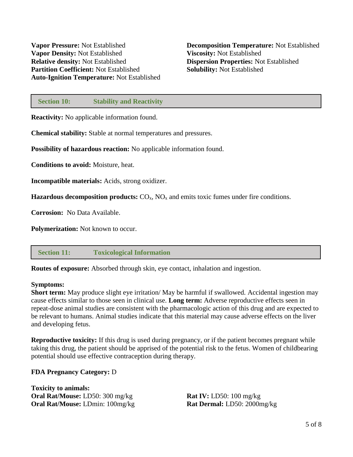#### **Section 10: Stability and Reactivity**

**Reactivity:** No applicable information found.

**Chemical stability:** Stable at normal temperatures and pressures.

**Possibility of hazardous reaction:** No applicable information found.

**Conditions to avoid:** Moisture, heat.

**Incompatible materials:** Acids, strong oxidizer.

**Hazardous decomposition products:**  $CO_x$ ,  $NO_x$  and emits toxic fumes under fire conditions.

**Corrosion:** No Data Available.

**Polymerization:** Not known to occur.

#### **Section 11: Toxicological Information**

**Routes of exposure:** Absorbed through skin, eye contact, inhalation and ingestion.

#### **Symptoms:**

**Short term:** May produce slight eye irritation/ May be harmful if swallowed. Accidental ingestion may cause effects similar to those seen in clinical use. **Long term:** Adverse reproductive effects seen in repeat-dose animal studies are consistent with the pharmacologic action of this drug and are expected to be relevant to humans. Animal studies indicate that this material may cause adverse effects on the liver and developing fetus.

**Reproductive toxicity:** If this drug is used during pregnancy, or if the patient becomes pregnant while taking this drug, the patient should be apprised of the potential risk to the fetus. Women of childbearing potential should use effective contraception during therapy.

#### **FDA Pregnancy Category:** D

**Toxicity to animals: Oral Rat/Mouse:** LD50: 300 mg/kg **Oral Rat/Mouse:** LDmin: 100mg/kg

**Rat IV:** LD50: 100 mg/kg **Rat Dermal:** LD50: 2000mg/kg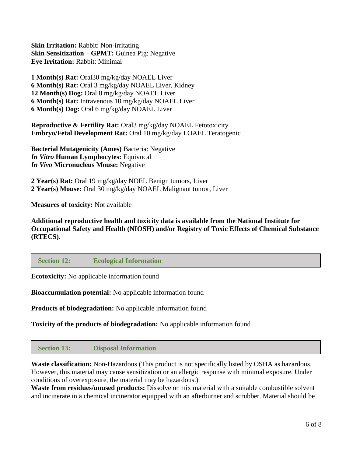**Skin Irritation:** Rabbit: Non-irritating **Skin Sensitization – GPMT:** Guinea Pig: Negative **Eye Irritation:** Rabbit: Minimal

**1 Month(s) Rat:** Oral30 mg/kg/day NOAEL Liver **6 Month(s) Rat:** Oral 3 mg/kg/day NOAEL Liver, Kidney **12 Month(s) Dog:** Oral 8 mg/kg/day NOAEL Liver **6 Month(s) Rat:** Intravenous 10 mg/kg/day NOAEL Liver **6 Month(s) Dog:** Oral 6 mg/kg/day NOAEL Liver

**Reproductive & Fertility Rat:** Oral3 mg/kg/day NOAEL Fetotoxicity **Embryo/Fetal Development Rat:** Oral 10 mg/kg/day LOAEL Teratogenic

**Bacterial Mutagenicity (Ames)** Bacteria: Negative *In Vitro* **Human Lymphocytes:** Equivocal *In Vivo* **Micronucleus Mouse:** Negative

**2 Year(s) Rat:** Oral 19 mg/kg/day NOEL Benign tumors, Liver **2 Year(s) Mouse:** Oral 30 mg/kg/day NOAEL Malignant tumor, Liver

**Measures of toxicity:** Not available

**Additional reproductive health and toxicity data is available from the National Institute for Occupational Safety and Health (NIOSH) and/or Registry of Toxic Effects of Chemical Substance (RTECS).**

 **Section 12: Ecological Information**

**Ecotoxicity:** No applicable information found

**Bioaccumulation potential:** No applicable information found

**Products of biodegradation:** No applicable information found

**Toxicity of the products of biodegradation:** No applicable information found

 **Section 13: Disposal Information**

**Waste classification:** Non-Hazardous (This product is not specifically listed by OSHA as hazardous. However, this material may cause sensitization or an allergic response with minimal exposure. Under conditions of overexposure, the material may be hazardous.)

**Waste from residues/unused products:** Dissolve or mix material with a suitable combustible solvent and incinerate in a chemical incinerator equipped with an afterburner and scrubber. Material should be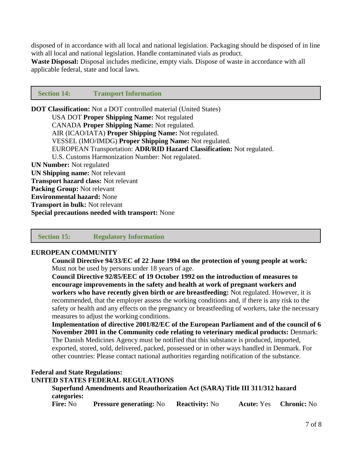disposed of in accordance with all local and national legislation. Packaging should be disposed of in line with all local and national legislation. Handle contaminated vials as product.

**Waste Disposal:** Disposal includes medicine, empty vials. Dispose of waste in accordance with all applicable federal, state and local laws.

#### **Section 14: Transport Information**

**DOT Classification:** Not a DOT controlled material (United States) USA DOT **Proper Shipping Name:** Not regulated CANADA **Proper Shipping Name:** Not regulated. AIR (ICAO/IATA) **Proper Shipping Name:** Not regulated. VESSEL (IMO/IMDG) **Proper Shipping Name:** Not regulated. EUROPEAN Transportation: **ADR/RID Hazard Classification:** Not regulated. U.S. Customs Harmonization Number: Not regulated. **UN Number:** Not regulated **UN Shipping name:** Not relevant **Transport hazard class:** Not relevant **Packing Group:** Not relevant **Environmental hazard:** None **Transport in bulk:** Not relevant **Special precautions needed with transport:** None

 **Section 15: Regulatory Information**

#### **EUROPEAN COMMUNITY**

**Council Directive 94/33/EC of 22 June 1994 on the protection of young people at work:** Must not be used by persons under 18 years of age.

**Council Directive 92/85/EEC of 19 October 1992 on the introduction of measures to encourage improvements in the safety and health at work of pregnant workers and workers who have recently given birth or are breastfeeding:** Not regulated. However, it is recommended, that the employer assess the working conditions and, if there is any risk to the safety or health and any effects on the pregnancy or breastfeeding of workers, take the necessary measures to adjust the working conditions.

**Implementation of directive 2001/82/EC of the European Parliament and of the council of 6 November 2001 in the Community code relating to veterinary medical products:** Denmark: The Danish Medicines Agency must be notified that this substance is produced, imported, exported, stored, sold, delivered, packed, possessed or in other ways handled in Denmark. For other countries: Please contact national authorities regarding notification of the substance.

#### **Federal and State Regulations:**

# **UNITED STATES FEDERAL REGULATIONS**

**Superfund Amendments and Reauthorization Act (SARA) Title III 311/312 hazard categories: Fire:** No **Pressure generating:** No **Reactivity:** No **Acute:** Yes **Chronic:** No